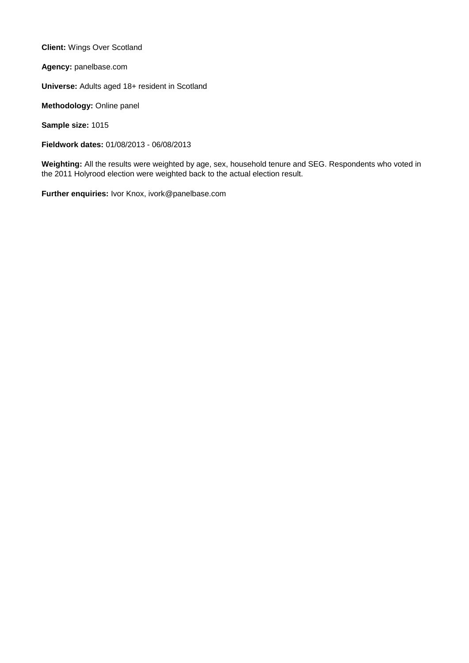**Client:** Wings Over Scotland

**Agency:** panelbase.com

**Universe:** Adults aged 18+ resident in Scotland

**Methodology:** Online panel

**Sample size:** 1015

**Fieldwork dates:** 01/08/2013 - 06/08/2013

**Weighting:** All the results were weighted by age, sex, household tenure and SEG. Respondents who voted in the 2011 Holyrood election were weighted back to the actual election result.

**Further enquiries:** Ivor Knox, ivork@panelbase.com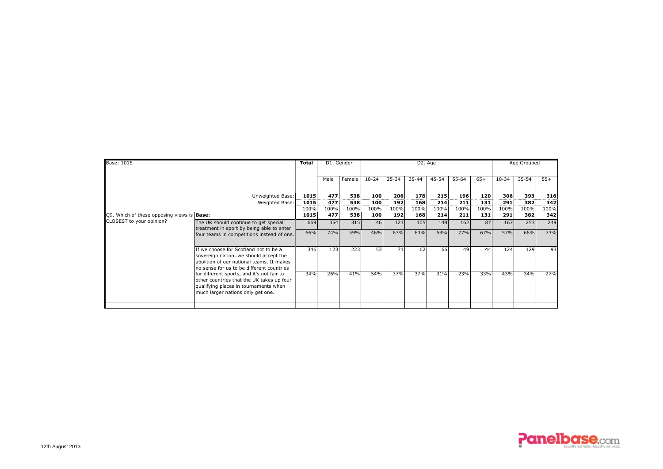| Base: 1015                                        |                                                                                                                                                                                                                                                                                                                                                    | Total | D1. Gender |        |                  |           | D <sub>2</sub> . Age | Age Grouped |           |       |       |       |       |
|---------------------------------------------------|----------------------------------------------------------------------------------------------------------------------------------------------------------------------------------------------------------------------------------------------------------------------------------------------------------------------------------------------------|-------|------------|--------|------------------|-----------|----------------------|-------------|-----------|-------|-------|-------|-------|
|                                                   |                                                                                                                                                                                                                                                                                                                                                    |       | Male       | Female | $18 - 24$        | $25 - 34$ | $35 - 44$            | $45 - 54$   | $55 - 64$ | $65+$ | 18-34 | 35-54 | $55+$ |
|                                                   | Unweighted Base:                                                                                                                                                                                                                                                                                                                                   | 1015  | 477        | 538    | 100              | 206       | 178                  | 215         | 196       | 120   | 306   | 393   | 316   |
|                                                   | Weighted Base:                                                                                                                                                                                                                                                                                                                                     | 1015  | 477        | 538    | 100              | 192       | 168                  | 214         | 211       | 131   | 291   | 382   | 342   |
|                                                   |                                                                                                                                                                                                                                                                                                                                                    |       | 100%       | 100%   | 100%             | 100%      | 100%                 | 100%        | 100%      | 100%  | 100%  | 100%  | 100%  |
| Q9. Which of these opposing views is <b>Base:</b> |                                                                                                                                                                                                                                                                                                                                                    | 1015  | 477        | 538    | 100 <sub>1</sub> | 192       | 168                  | 214         | 211       | 131   | 291   | 382   | 342   |
| CLOSEST to your opinion?                          | The UK should continue to get special<br>treatment in sport by being able to enter<br>four teams in competitions instead of one.                                                                                                                                                                                                                   | 669   | 354        | 315    | 46               | 121       | 105                  | 148         | 162       | 87    | 167   | 253   | 249   |
|                                                   |                                                                                                                                                                                                                                                                                                                                                    | 66%   | 74%        | 59%    | 46%              | 63%       | 63%                  | 69%         | 77%       | 67%   | 57%   | 66%   | 73%   |
|                                                   | If we choose for Scotland not to be a<br>sovereign nation, we should accept the<br>abolition of our national teams. It makes<br>no sense for us to be different countries<br>for different sports, and it's not fair to<br>other countries that the UK takes up four<br>qualifying places in tournaments when<br>much larger nations only get one. | 346   | 123        | 223    | 53               | 71        | 62                   | 66          | 49        | 44    | 124   | 129   | 93    |
|                                                   |                                                                                                                                                                                                                                                                                                                                                    | 34%   | 26%        | 41%    | 54%              | 37%       | 37%                  | 31%         | 23%       | 33%   | 43%   | 34%   | 27%   |
|                                                   |                                                                                                                                                                                                                                                                                                                                                    |       |            |        |                  |           |                      |             |           |       |       |       |       |